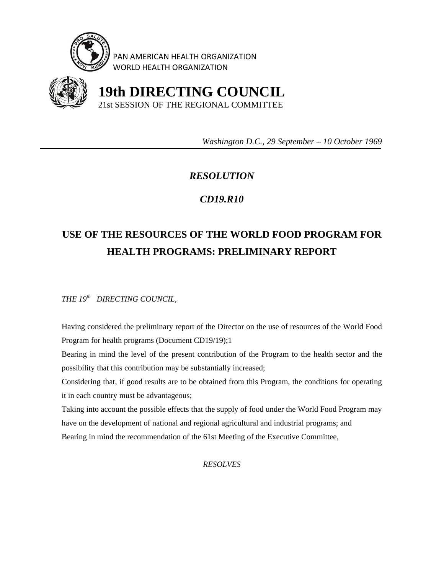

PAN AMERICAN HEALTH ORGANIZATION WORLD HEALTH ORGANIZATION



 **19th DIRECTING COUNCIL** 21st SESSION OF THE REGIONAL COMMITTEE

 *Washington D.C., 29 September – 10 October 1969* 

## *RESOLUTION*

## *CD19.R10*

## **USE OF THE RESOURCES OF THE WORLD FOOD PROGRAM FOR HEALTH PROGRAMS: PRELIMINARY REPORT**

*THE 19th DIRECTING COUNCIL,* 

Having considered the preliminary report of the Director on the use of resources of the World Food Program for health programs (Document CD19/19);1

Bearing in mind the level of the present contribution of the Program to the health sector and the possibility that this contribution may be substantially increased;

Considering that, if good results are to be obtained from this Program, the conditions for operating it in each country must be advantageous;

Taking into account the possible effects that the supply of food under the World Food Program may have on the development of national and regional agricultural and industrial programs; and Bearing in mind the recommendation of the 61st Meeting of the Executive Committee,

*RESOLVES*